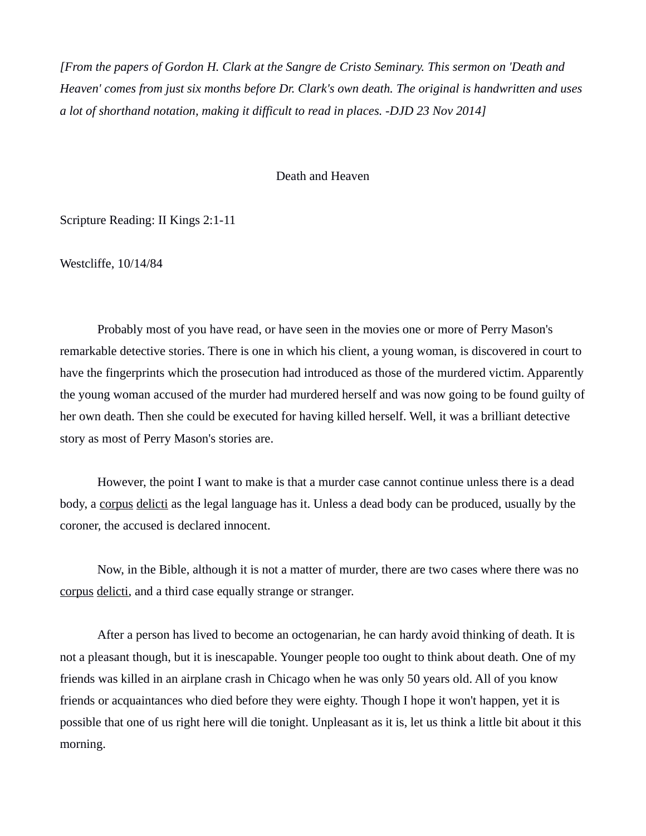*[From the papers of Gordon H. Clark at the Sangre de Cristo Seminary. This sermon on 'Death and Heaven' comes from just six months before Dr. Clark's own death. The original is handwritten and uses a lot of shorthand notation, making it difficult to read in places. -DJD 23 Nov 2014]*

Death and Heaven

Scripture Reading: II Kings 2:1-11

Westcliffe, 10/14/84

Probably most of you have read, or have seen in the movies one or more of Perry Mason's remarkable detective stories. There is one in which his client, a young woman, is discovered in court to have the fingerprints which the prosecution had introduced as those of the murdered victim. Apparently the young woman accused of the murder had murdered herself and was now going to be found guilty of her own death. Then she could be executed for having killed herself. Well, it was a brilliant detective story as most of Perry Mason's stories are.

However, the point I want to make is that a murder case cannot continue unless there is a dead body, a corpus delicti as the legal language has it. Unless a dead body can be produced, usually by the coroner, the accused is declared innocent.

Now, in the Bible, although it is not a matter of murder, there are two cases where there was no corpus delicti, and a third case equally strange or stranger.

After a person has lived to become an octogenarian, he can hardy avoid thinking of death. It is not a pleasant though, but it is inescapable. Younger people too ought to think about death. One of my friends was killed in an airplane crash in Chicago when he was only 50 years old. All of you know friends or acquaintances who died before they were eighty. Though I hope it won't happen, yet it is possible that one of us right here will die tonight. Unpleasant as it is, let us think a little bit about it this morning.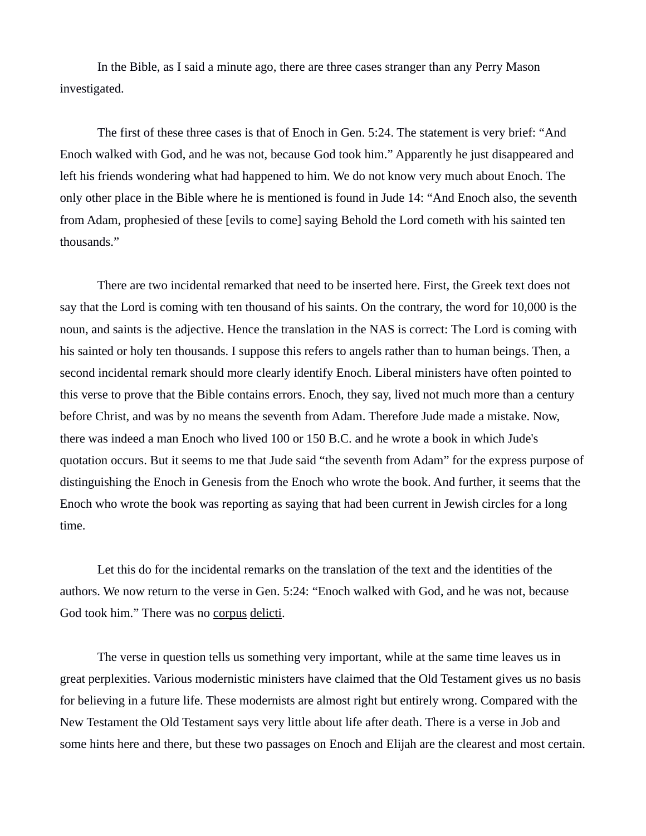In the Bible, as I said a minute ago, there are three cases stranger than any Perry Mason investigated.

The first of these three cases is that of Enoch in Gen. 5:24. The statement is very brief: "And Enoch walked with God, and he was not, because God took him." Apparently he just disappeared and left his friends wondering what had happened to him. We do not know very much about Enoch. The only other place in the Bible where he is mentioned is found in Jude 14: "And Enoch also, the seventh from Adam, prophesied of these [evils to come] saying Behold the Lord cometh with his sainted ten thousands."

There are two incidental remarked that need to be inserted here. First, the Greek text does not say that the Lord is coming with ten thousand of his saints. On the contrary, the word for 10,000 is the noun, and saints is the adjective. Hence the translation in the NAS is correct: The Lord is coming with his sainted or holy ten thousands. I suppose this refers to angels rather than to human beings. Then, a second incidental remark should more clearly identify Enoch. Liberal ministers have often pointed to this verse to prove that the Bible contains errors. Enoch, they say, lived not much more than a century before Christ, and was by no means the seventh from Adam. Therefore Jude made a mistake. Now, there was indeed a man Enoch who lived 100 or 150 B.C. and he wrote a book in which Jude's quotation occurs. But it seems to me that Jude said "the seventh from Adam" for the express purpose of distinguishing the Enoch in Genesis from the Enoch who wrote the book. And further, it seems that the Enoch who wrote the book was reporting as saying that had been current in Jewish circles for a long time.

Let this do for the incidental remarks on the translation of the text and the identities of the authors. We now return to the verse in Gen. 5:24: "Enoch walked with God, and he was not, because God took him." There was no corpus delicti.

The verse in question tells us something very important, while at the same time leaves us in great perplexities. Various modernistic ministers have claimed that the Old Testament gives us no basis for believing in a future life. These modernists are almost right but entirely wrong. Compared with the New Testament the Old Testament says very little about life after death. There is a verse in Job and some hints here and there, but these two passages on Enoch and Elijah are the clearest and most certain.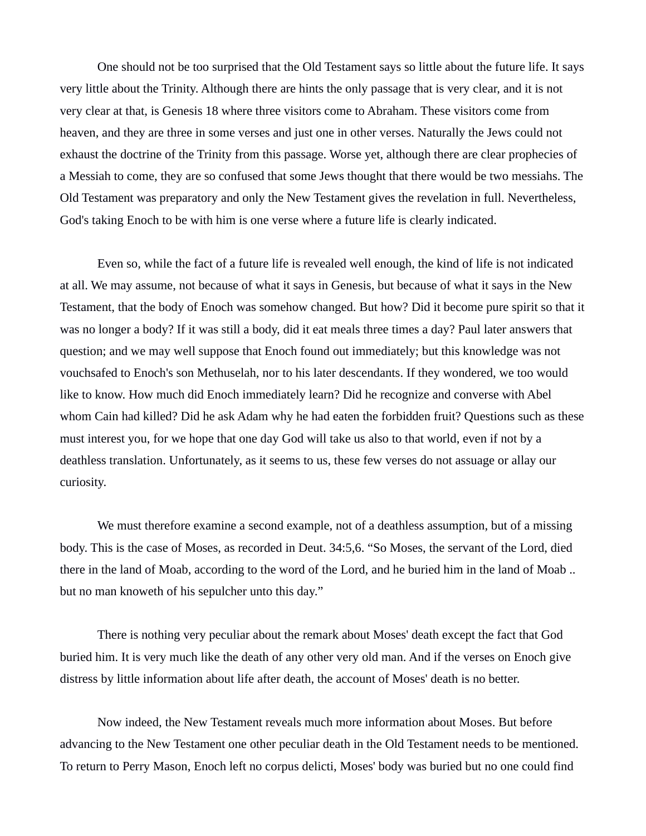One should not be too surprised that the Old Testament says so little about the future life. It says very little about the Trinity. Although there are hints the only passage that is very clear, and it is not very clear at that, is Genesis 18 where three visitors come to Abraham. These visitors come from heaven, and they are three in some verses and just one in other verses. Naturally the Jews could not exhaust the doctrine of the Trinity from this passage. Worse yet, although there are clear prophecies of a Messiah to come, they are so confused that some Jews thought that there would be two messiahs. The Old Testament was preparatory and only the New Testament gives the revelation in full. Nevertheless, God's taking Enoch to be with him is one verse where a future life is clearly indicated.

Even so, while the fact of a future life is revealed well enough, the kind of life is not indicated at all. We may assume, not because of what it says in Genesis, but because of what it says in the New Testament, that the body of Enoch was somehow changed. But how? Did it become pure spirit so that it was no longer a body? If it was still a body, did it eat meals three times a day? Paul later answers that question; and we may well suppose that Enoch found out immediately; but this knowledge was not vouchsafed to Enoch's son Methuselah, nor to his later descendants. If they wondered, we too would like to know. How much did Enoch immediately learn? Did he recognize and converse with Abel whom Cain had killed? Did he ask Adam why he had eaten the forbidden fruit? Questions such as these must interest you, for we hope that one day God will take us also to that world, even if not by a deathless translation. Unfortunately, as it seems to us, these few verses do not assuage or allay our curiosity.

We must therefore examine a second example, not of a deathless assumption, but of a missing body. This is the case of Moses, as recorded in Deut. 34:5,6. "So Moses, the servant of the Lord, died there in the land of Moab, according to the word of the Lord, and he buried him in the land of Moab .. but no man knoweth of his sepulcher unto this day."

There is nothing very peculiar about the remark about Moses' death except the fact that God buried him. It is very much like the death of any other very old man. And if the verses on Enoch give distress by little information about life after death, the account of Moses' death is no better.

Now indeed, the New Testament reveals much more information about Moses. But before advancing to the New Testament one other peculiar death in the Old Testament needs to be mentioned. To return to Perry Mason, Enoch left no corpus delicti, Moses' body was buried but no one could find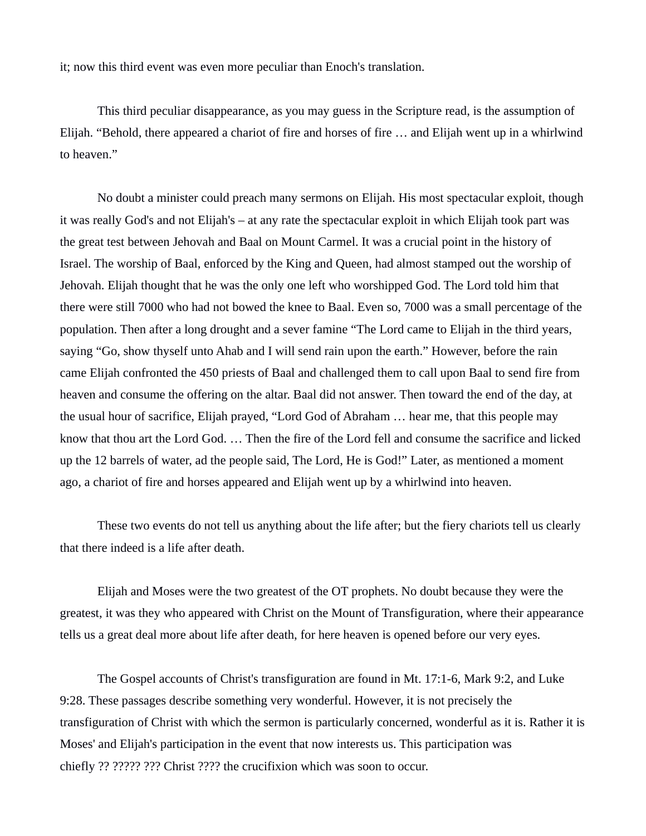it; now this third event was even more peculiar than Enoch's translation.

This third peculiar disappearance, as you may guess in the Scripture read, is the assumption of Elijah. "Behold, there appeared a chariot of fire and horses of fire … and Elijah went up in a whirlwind to heaven."

No doubt a minister could preach many sermons on Elijah. His most spectacular exploit, though it was really God's and not Elijah's – at any rate the spectacular exploit in which Elijah took part was the great test between Jehovah and Baal on Mount Carmel. It was a crucial point in the history of Israel. The worship of Baal, enforced by the King and Queen, had almost stamped out the worship of Jehovah. Elijah thought that he was the only one left who worshipped God. The Lord told him that there were still 7000 who had not bowed the knee to Baal. Even so, 7000 was a small percentage of the population. Then after a long drought and a sever famine "The Lord came to Elijah in the third years, saying "Go, show thyself unto Ahab and I will send rain upon the earth." However, before the rain came Elijah confronted the 450 priests of Baal and challenged them to call upon Baal to send fire from heaven and consume the offering on the altar. Baal did not answer. Then toward the end of the day, at the usual hour of sacrifice, Elijah prayed, "Lord God of Abraham … hear me, that this people may know that thou art the Lord God. … Then the fire of the Lord fell and consume the sacrifice and licked up the 12 barrels of water, ad the people said, The Lord, He is God!" Later, as mentioned a moment ago, a chariot of fire and horses appeared and Elijah went up by a whirlwind into heaven.

These two events do not tell us anything about the life after; but the fiery chariots tell us clearly that there indeed is a life after death.

Elijah and Moses were the two greatest of the OT prophets. No doubt because they were the greatest, it was they who appeared with Christ on the Mount of Transfiguration, where their appearance tells us a great deal more about life after death, for here heaven is opened before our very eyes.

The Gospel accounts of Christ's transfiguration are found in Mt. 17:1-6, Mark 9:2, and Luke 9:28. These passages describe something very wonderful. However, it is not precisely the transfiguration of Christ with which the sermon is particularly concerned, wonderful as it is. Rather it is Moses' and Elijah's participation in the event that now interests us. This participation was chiefly ?? ????? ??? Christ ???? the crucifixion which was soon to occur.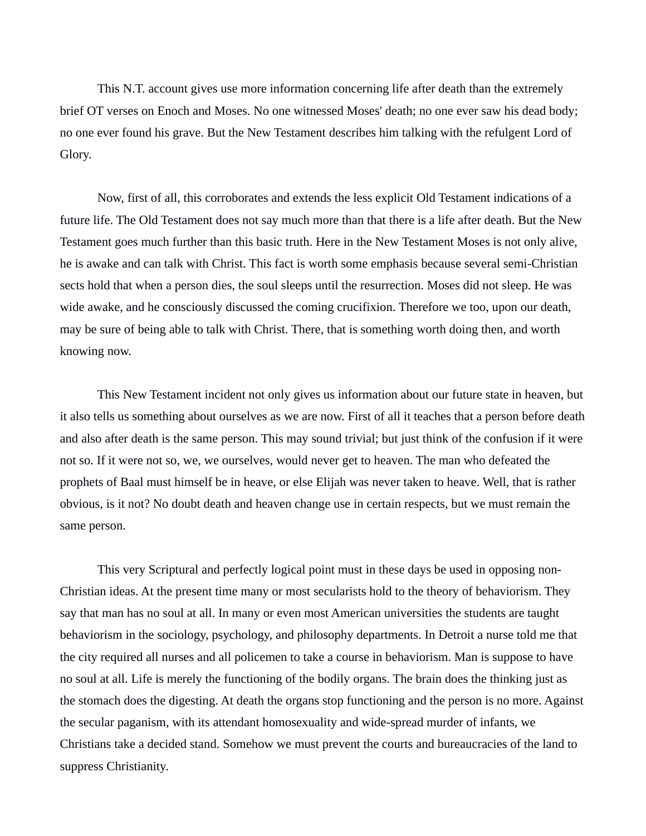This N.T. account gives use more information concerning life after death than the extremely brief OT verses on Enoch and Moses. No one witnessed Moses' death; no one ever saw his dead body; no one ever found his grave. But the New Testament describes him talking with the refulgent Lord of Glory.

Now, first of all, this corroborates and extends the less explicit Old Testament indications of a future life. The Old Testament does not say much more than that there is a life after death. But the New Testament goes much further than this basic truth. Here in the New Testament Moses is not only alive, he is awake and can talk with Christ. This fact is worth some emphasis because several semi-Christian sects hold that when a person dies, the soul sleeps until the resurrection. Moses did not sleep. He was wide awake, and he consciously discussed the coming crucifixion. Therefore we too, upon our death, may be sure of being able to talk with Christ. There, that is something worth doing then, and worth knowing now.

This New Testament incident not only gives us information about our future state in heaven, but it also tells us something about ourselves as we are now. First of all it teaches that a person before death and also after death is the same person. This may sound trivial; but just think of the confusion if it were not so. If it were not so, we, we ourselves, would never get to heaven. The man who defeated the prophets of Baal must himself be in heave, or else Elijah was never taken to heave. Well, that is rather obvious, is it not? No doubt death and heaven change use in certain respects, but we must remain the same person.

This very Scriptural and perfectly logical point must in these days be used in opposing non-Christian ideas. At the present time many or most secularists hold to the theory of behaviorism. They say that man has no soul at all. In many or even most American universities the students are taught behaviorism in the sociology, psychology, and philosophy departments. In Detroit a nurse told me that the city required all nurses and all policemen to take a course in behaviorism. Man is suppose to have no soul at all. Life is merely the functioning of the bodily organs. The brain does the thinking just as the stomach does the digesting. At death the organs stop functioning and the person is no more. Against the secular paganism, with its attendant homosexuality and wide-spread murder of infants, we Christians take a decided stand. Somehow we must prevent the courts and bureaucracies of the land to suppress Christianity.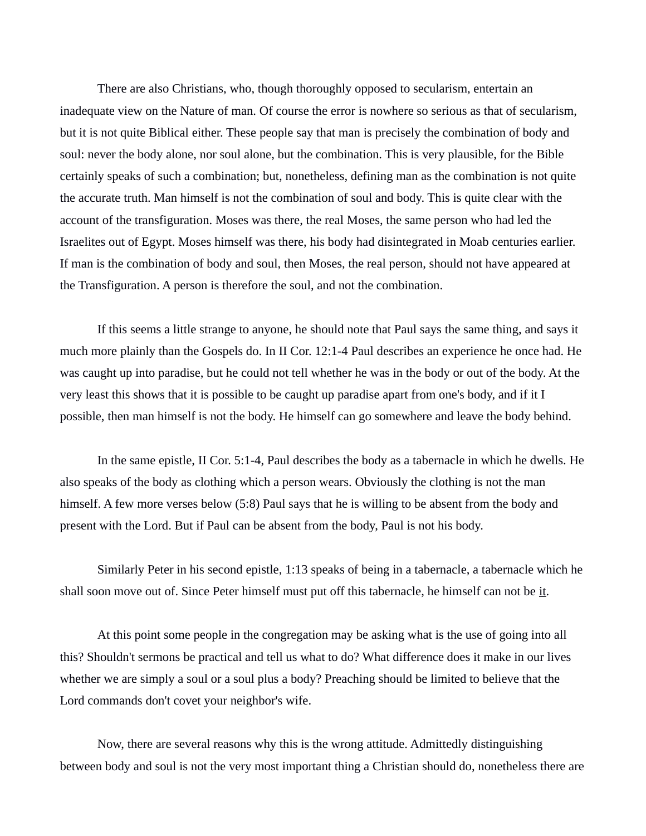There are also Christians, who, though thoroughly opposed to secularism, entertain an inadequate view on the Nature of man. Of course the error is nowhere so serious as that of secularism, but it is not quite Biblical either. These people say that man is precisely the combination of body and soul: never the body alone, nor soul alone, but the combination. This is very plausible, for the Bible certainly speaks of such a combination; but, nonetheless, defining man as the combination is not quite the accurate truth. Man himself is not the combination of soul and body. This is quite clear with the account of the transfiguration. Moses was there, the real Moses, the same person who had led the Israelites out of Egypt. Moses himself was there, his body had disintegrated in Moab centuries earlier. If man is the combination of body and soul, then Moses, the real person, should not have appeared at the Transfiguration. A person is therefore the soul, and not the combination.

If this seems a little strange to anyone, he should note that Paul says the same thing, and says it much more plainly than the Gospels do. In II Cor. 12:1-4 Paul describes an experience he once had. He was caught up into paradise, but he could not tell whether he was in the body or out of the body. At the very least this shows that it is possible to be caught up paradise apart from one's body, and if it I possible, then man himself is not the body. He himself can go somewhere and leave the body behind.

In the same epistle, II Cor. 5:1-4, Paul describes the body as a tabernacle in which he dwells. He also speaks of the body as clothing which a person wears. Obviously the clothing is not the man himself. A few more verses below (5:8) Paul says that he is willing to be absent from the body and present with the Lord. But if Paul can be absent from the body, Paul is not his body.

Similarly Peter in his second epistle, 1:13 speaks of being in a tabernacle, a tabernacle which he shall soon move out of. Since Peter himself must put off this tabernacle, he himself can not be it.

At this point some people in the congregation may be asking what is the use of going into all this? Shouldn't sermons be practical and tell us what to do? What difference does it make in our lives whether we are simply a soul or a soul plus a body? Preaching should be limited to believe that the Lord commands don't covet your neighbor's wife.

Now, there are several reasons why this is the wrong attitude. Admittedly distinguishing between body and soul is not the very most important thing a Christian should do, nonetheless there are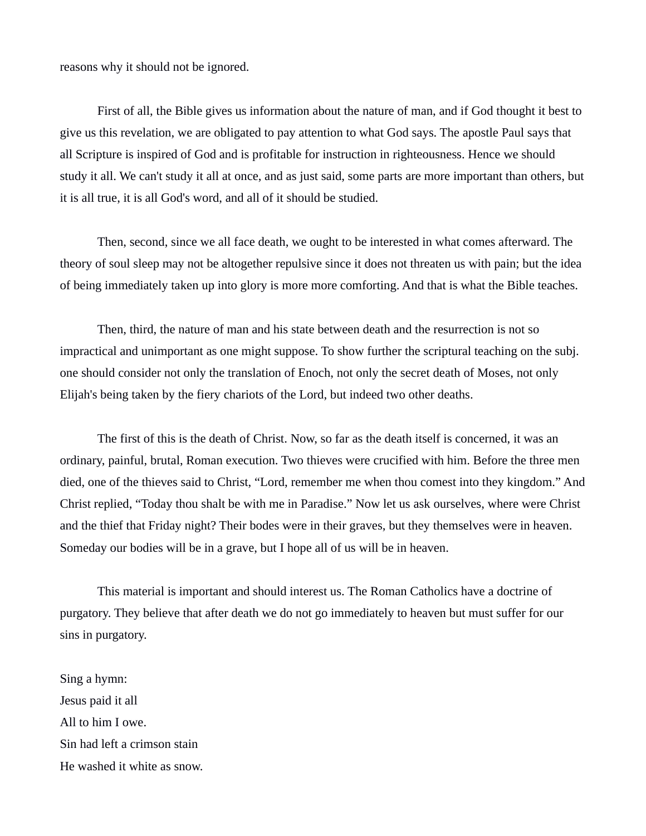reasons why it should not be ignored.

First of all, the Bible gives us information about the nature of man, and if God thought it best to give us this revelation, we are obligated to pay attention to what God says. The apostle Paul says that all Scripture is inspired of God and is profitable for instruction in righteousness. Hence we should study it all. We can't study it all at once, and as just said, some parts are more important than others, but it is all true, it is all God's word, and all of it should be studied.

Then, second, since we all face death, we ought to be interested in what comes afterward. The theory of soul sleep may not be altogether repulsive since it does not threaten us with pain; but the idea of being immediately taken up into glory is more more comforting. And that is what the Bible teaches.

Then, third, the nature of man and his state between death and the resurrection is not so impractical and unimportant as one might suppose. To show further the scriptural teaching on the subj. one should consider not only the translation of Enoch, not only the secret death of Moses, not only Elijah's being taken by the fiery chariots of the Lord, but indeed two other deaths.

The first of this is the death of Christ. Now, so far as the death itself is concerned, it was an ordinary, painful, brutal, Roman execution. Two thieves were crucified with him. Before the three men died, one of the thieves said to Christ, "Lord, remember me when thou comest into they kingdom." And Christ replied, "Today thou shalt be with me in Paradise." Now let us ask ourselves, where were Christ and the thief that Friday night? Their bodes were in their graves, but they themselves were in heaven. Someday our bodies will be in a grave, but I hope all of us will be in heaven.

This material is important and should interest us. The Roman Catholics have a doctrine of purgatory. They believe that after death we do not go immediately to heaven but must suffer for our sins in purgatory.

Sing a hymn: Jesus paid it all All to him I owe. Sin had left a crimson stain He washed it white as snow.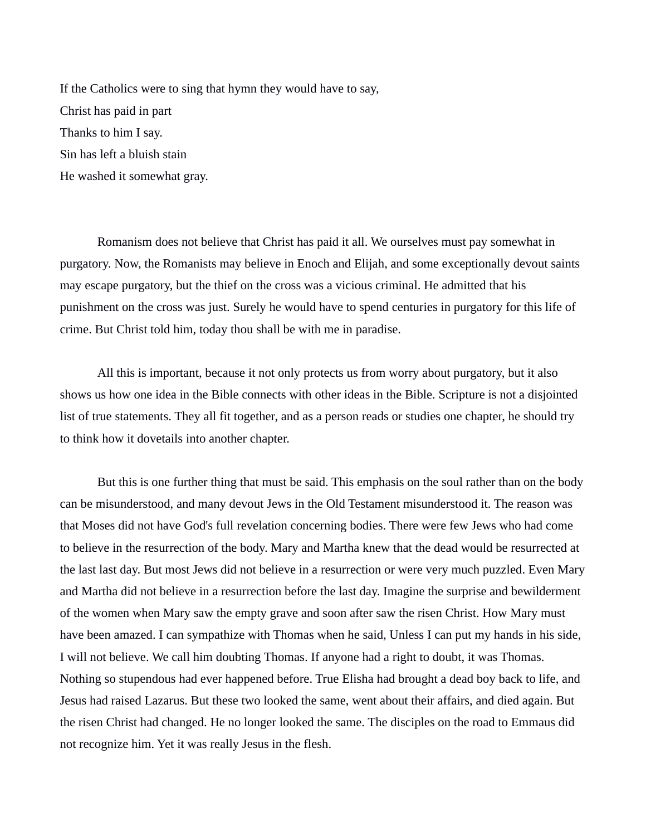If the Catholics were to sing that hymn they would have to say, Christ has paid in part Thanks to him I say. Sin has left a bluish stain He washed it somewhat gray.

Romanism does not believe that Christ has paid it all. We ourselves must pay somewhat in purgatory. Now, the Romanists may believe in Enoch and Elijah, and some exceptionally devout saints may escape purgatory, but the thief on the cross was a vicious criminal. He admitted that his punishment on the cross was just. Surely he would have to spend centuries in purgatory for this life of crime. But Christ told him, today thou shall be with me in paradise.

All this is important, because it not only protects us from worry about purgatory, but it also shows us how one idea in the Bible connects with other ideas in the Bible. Scripture is not a disjointed list of true statements. They all fit together, and as a person reads or studies one chapter, he should try to think how it dovetails into another chapter.

But this is one further thing that must be said. This emphasis on the soul rather than on the body can be misunderstood, and many devout Jews in the Old Testament misunderstood it. The reason was that Moses did not have God's full revelation concerning bodies. There were few Jews who had come to believe in the resurrection of the body. Mary and Martha knew that the dead would be resurrected at the last last day. But most Jews did not believe in a resurrection or were very much puzzled. Even Mary and Martha did not believe in a resurrection before the last day. Imagine the surprise and bewilderment of the women when Mary saw the empty grave and soon after saw the risen Christ. How Mary must have been amazed. I can sympathize with Thomas when he said, Unless I can put my hands in his side, I will not believe. We call him doubting Thomas. If anyone had a right to doubt, it was Thomas. Nothing so stupendous had ever happened before. True Elisha had brought a dead boy back to life, and Jesus had raised Lazarus. But these two looked the same, went about their affairs, and died again. But the risen Christ had changed. He no longer looked the same. The disciples on the road to Emmaus did not recognize him. Yet it was really Jesus in the flesh.